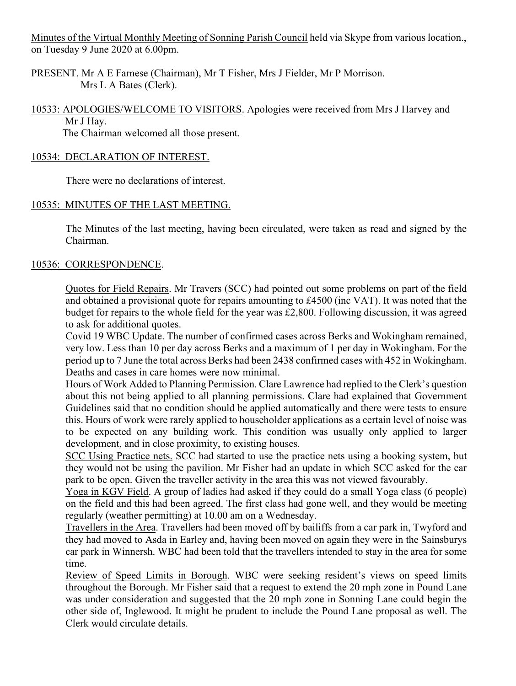Minutes of the Virtual Monthly Meeting of Sonning Parish Council held via Skype from various location., on Tuesday 9 June 2020 at 6.00pm.

PRESENT. Mr A E Farnese (Chairman), Mr T Fisher, Mrs J Fielder, Mr P Morrison. Mrs L A Bates (Clerk).

10533: APOLOGIES/WELCOME TO VISITORS. Apologies were received from Mrs J Harvey and Mr J Hay.

The Chairman welcomed all those present.

## 10534: DECLARATION OF INTEREST.

There were no declarations of interest.

# 10535: MINUTES OF THE LAST MEETING.

The Minutes of the last meeting, having been circulated, were taken as read and signed by the Chairman.

# 10536: CORRESPONDENCE.

Quotes for Field Repairs. Mr Travers (SCC) had pointed out some problems on part of the field and obtained a provisional quote for repairs amounting to £4500 (inc VAT). It was noted that the budget for repairs to the whole field for the year was £2,800. Following discussion, it was agreed to ask for additional quotes.

Covid 19 WBC Update. The number of confirmed cases across Berks and Wokingham remained, very low. Less than 10 per day across Berks and a maximum of 1 per day in Wokingham. For the period up to 7 June the total across Berks had been 2438 confirmed cases with 452 in Wokingham. Deaths and cases in care homes were now minimal.

Hours of Work Added to Planning Permission. Clare Lawrence had replied to the Clerk's question about this not being applied to all planning permissions. Clare had explained that Government Guidelines said that no condition should be applied automatically and there were tests to ensure this. Hours of work were rarely applied to householder applications as a certain level of noise was to be expected on any building work. This condition was usually only applied to larger development, and in close proximity, to existing houses.

SCC Using Practice nets. SCC had started to use the practice nets using a booking system, but they would not be using the pavilion. Mr Fisher had an update in which SCC asked for the car park to be open. Given the traveller activity in the area this was not viewed favourably.

Yoga in KGV Field. A group of ladies had asked if they could do a small Yoga class (6 people) on the field and this had been agreed. The first class had gone well, and they would be meeting regularly (weather permitting) at 10.00 am on a Wednesday.

Travellers in the Area. Travellers had been moved off by bailiffs from a car park in, Twyford and they had moved to Asda in Earley and, having been moved on again they were in the Sainsburys car park in Winnersh. WBC had been told that the travellers intended to stay in the area for some time.

Review of Speed Limits in Borough. WBC were seeking resident's views on speed limits throughout the Borough. Mr Fisher said that a request to extend the 20 mph zone in Pound Lane was under consideration and suggested that the 20 mph zone in Sonning Lane could begin the other side of, Inglewood. It might be prudent to include the Pound Lane proposal as well. The Clerk would circulate details.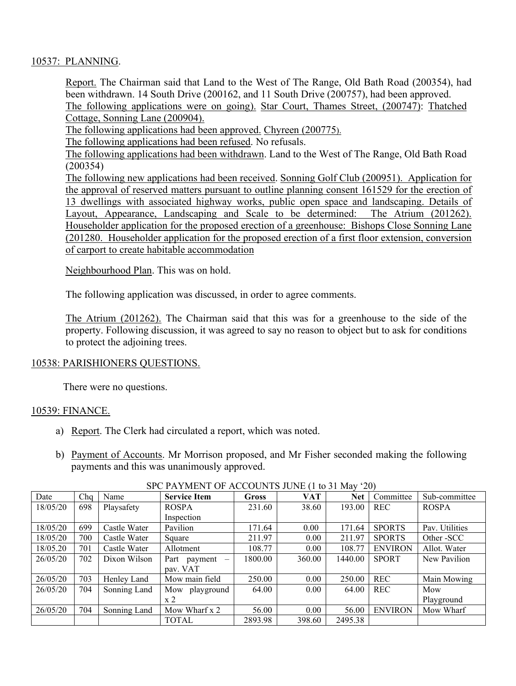### 10537: PLANNING.

Report. The Chairman said that Land to the West of The Range, Old Bath Road (200354), had been withdrawn. 14 South Drive (200162, and 11 South Drive (200757), had been approved. The following applications were on going). Star Court, Thames Street, (200747): Thatched Cottage, Sonning Lane (200904).

The following applications had been approved. Chyreen (200775).

The following applications had been refused. No refusals.

The following applications had been withdrawn. Land to the West of The Range, Old Bath Road (200354)

The following new applications had been received. Sonning Golf Club (200951). Application for the approval of reserved matters pursuant to outline planning consent 161529 for the erection of 13 dwellings with associated highway works, public open space and landscaping. Details of Layout, Appearance, Landscaping and Scale to be determined: The Atrium (201262). Householder application for the proposed erection of a greenhouse: Bishops Close Sonning Lane (201280. Householder application for the proposed erection of a first floor extension, conversion of carport to create habitable accommodation

Neighbourhood Plan. This was on hold.

The following application was discussed, in order to agree comments.

The Atrium (201262). The Chairman said that this was for a greenhouse to the side of the property. Following discussion, it was agreed to say no reason to object but to ask for conditions to protect the adjoining trees.

### 10538: PARISHIONERS QUESTIONS.

There were no questions.

#### 10539: FINANCE.

- a) Report. The Clerk had circulated a report, which was noted.
- b) Payment of Accounts. Mr Morrison proposed, and Mr Fisher seconded making the following payments and this was unanimously approved.

| Date     | Cha | Name         | <b>Service Item</b>                      | <b>Gross</b> | <b>VAT</b> | <b>Net</b> | Committee      | Sub-committee  |
|----------|-----|--------------|------------------------------------------|--------------|------------|------------|----------------|----------------|
| 18/05/20 | 698 | Playsafety   | <b>ROSPA</b>                             | 231.60       | 38.60      | 193.00     | <b>REC</b>     | <b>ROSPA</b>   |
|          |     |              | Inspection                               |              |            |            |                |                |
| 18/05/20 | 699 | Castle Water | Pavilion                                 | 171.64       | 0.00       | 171.64     | <b>SPORTS</b>  | Pav. Utilities |
| 18/05/20 | 700 | Castle Water | Square                                   | 211.97       | 0.00       | 211.97     | <b>SPORTS</b>  | Other - SCC    |
| 18/05.20 | 701 | Castle Water | Allotment                                | 108.77       | 0.00       | 108.77     | <b>ENVIRON</b> | Allot. Water   |
| 26/05/20 | 702 | Dixon Wilson | Part payment<br>$\overline{\phantom{m}}$ | 1800.00      | 360.00     | 1440.00    | <b>SPORT</b>   | New Pavilion   |
|          |     |              | pav. VAT                                 |              |            |            |                |                |
| 26/05/20 | 703 | Henley Land  | Mow main field                           | 250.00       | 0.00       | 250.00     | <b>REC</b>     | Main Mowing    |
| 26/05/20 | 704 | Sonning Land | Mow playground                           | 64.00        | 0.00       | 64.00      | <b>REC</b>     | Mow            |
|          |     |              | x 2                                      |              |            |            |                | Playground     |
| 26/05/20 | 704 | Sonning Land | Mow Wharf x 2                            | 56.00        | 0.00       | 56.00      | <b>ENVIRON</b> | Mow Wharf      |
|          |     |              | <b>TOTAL</b>                             | 2893.98      | 398.60     | 2495.38    |                |                |

### SPC PAYMENT OF ACCOUNTS JUNE (1 to 31 May '20)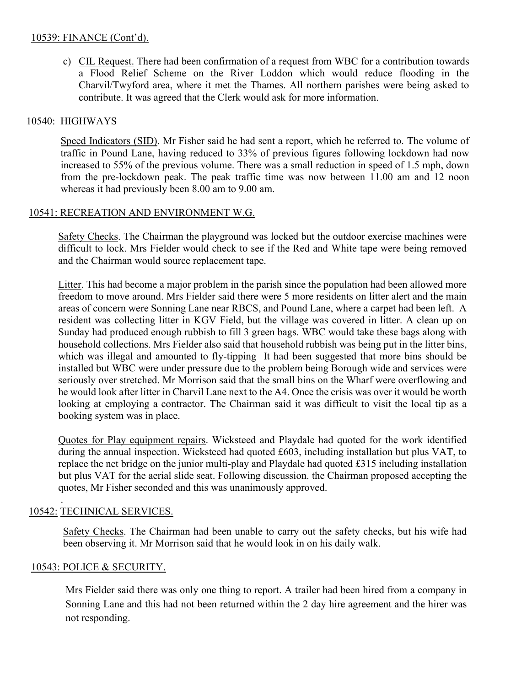### 10539: FINANCE (Cont'd).

c) CIL Request. There had been confirmation of a request from WBC for a contribution towards a Flood Relief Scheme on the River Loddon which would reduce flooding in the Charvil/Twyford area, where it met the Thames. All northern parishes were being asked to contribute. It was agreed that the Clerk would ask for more information.

## 10540: HIGHWAYS

Speed Indicators (SID). Mr Fisher said he had sent a report, which he referred to. The volume of traffic in Pound Lane, having reduced to 33% of previous figures following lockdown had now increased to 55% of the previous volume. There was a small reduction in speed of 1.5 mph, down from the pre-lockdown peak. The peak traffic time was now between 11.00 am and 12 noon whereas it had previously been 8.00 am to 9.00 am.

## 10541: RECREATION AND ENVIRONMENT W.G.

Safety Checks. The Chairman the playground was locked but the outdoor exercise machines were difficult to lock. Mrs Fielder would check to see if the Red and White tape were being removed and the Chairman would source replacement tape.

Litter. This had become a major problem in the parish since the population had been allowed more freedom to move around. Mrs Fielder said there were 5 more residents on litter alert and the main areas of concern were Sonning Lane near RBCS, and Pound Lane, where a carpet had been left. A resident was collecting litter in KGV Field, but the village was covered in litter. A clean up on Sunday had produced enough rubbish to fill 3 green bags. WBC would take these bags along with household collections. Mrs Fielder also said that household rubbish was being put in the litter bins, which was illegal and amounted to fly-tipping It had been suggested that more bins should be installed but WBC were under pressure due to the problem being Borough wide and services were seriously over stretched. Mr Morrison said that the small bins on the Wharf were overflowing and he would look after litter in Charvil Lane next to the A4. Once the crisis was over it would be worth looking at employing a contractor. The Chairman said it was difficult to visit the local tip as a booking system was in place.

Quotes for Play equipment repairs. Wicksteed and Playdale had quoted for the work identified during the annual inspection. Wicksteed had quoted £603, including installation but plus VAT, to replace the net bridge on the junior multi-play and Playdale had quoted £315 including installation but plus VAT for the aerial slide seat. Following discussion. the Chairman proposed accepting the quotes, Mr Fisher seconded and this was unanimously approved.

## 10542: TECHNICAL SERVICES.

.

Safety Checks. The Chairman had been unable to carry out the safety checks, but his wife had been observing it. Mr Morrison said that he would look in on his daily walk.

## 10543: POLICE & SECURITY.

Mrs Fielder said there was only one thing to report. A trailer had been hired from a company in Sonning Lane and this had not been returned within the 2 day hire agreement and the hirer was not responding.